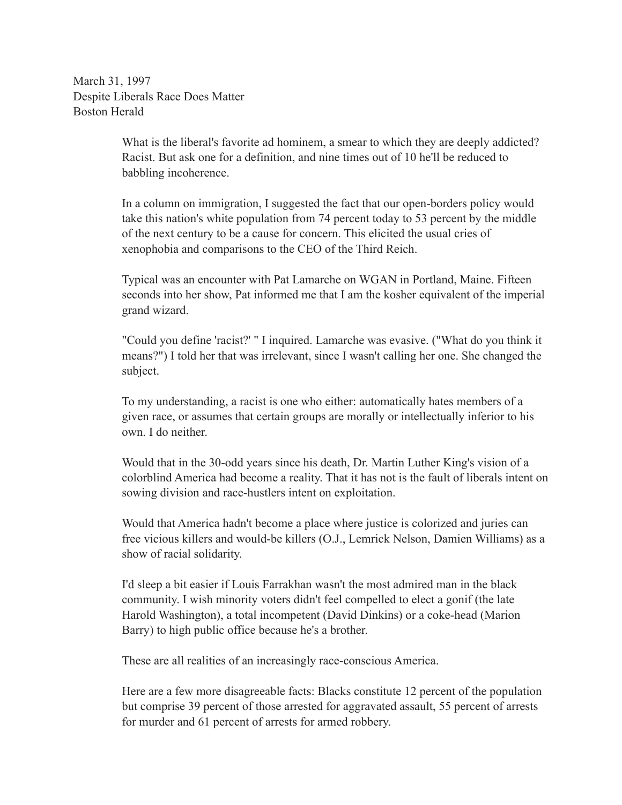March 31, 1997 Despite Liberals Race Does Matter Boston Herald

> What is the liberal's favorite ad hominem, a smear to which they are deeply addicted? Racist. But ask one for a definition, and nine times out of 10 he'll be reduced to babbling incoherence.

> In a column on immigration, I suggested the fact that our open-borders policy would take this nation's white population from 74 percent today to 53 percent by the middle of the next century to be a cause for concern. This elicited the usual cries of xenophobia and comparisons to the CEO of the Third Reich.

Typical was an encounter with Pat Lamarche on WGAN in Portland, Maine. Fifteen seconds into her show, Pat informed me that I am the kosher equivalent of the imperial grand wizard.

"Could you define 'racist?' " I inquired. Lamarche was evasive. ("What do you think it means?") I told her that was irrelevant, since I wasn't calling her one. She changed the subject.

To my understanding, a racist is one who either: automatically hates members of a given race, or assumes that certain groups are morally or intellectually inferior to his own. I do neither.

Would that in the 30-odd years since his death, Dr. Martin Luther King's vision of a colorblind America had become a reality. That it has not is the fault of liberals intent on sowing division and race-hustlers intent on exploitation.

Would that America hadn't become a place where justice is colorized and juries can free vicious killers and would-be killers (O.J., Lemrick Nelson, Damien Williams) as a show of racial solidarity.

I'd sleep a bit easier if Louis Farrakhan wasn't the most admired man in the black community. I wish minority voters didn't feel compelled to elect a gonif (the late Harold Washington), a total incompetent (David Dinkins) or a coke-head (Marion Barry) to high public office because he's a brother.

These are all realities of an increasingly race-conscious America.

Here are a few more disagreeable facts: Blacks constitute 12 percent of the population but comprise 39 percent of those arrested for aggravated assault, 55 percent of arrests for murder and 61 percent of arrests for armed robbery.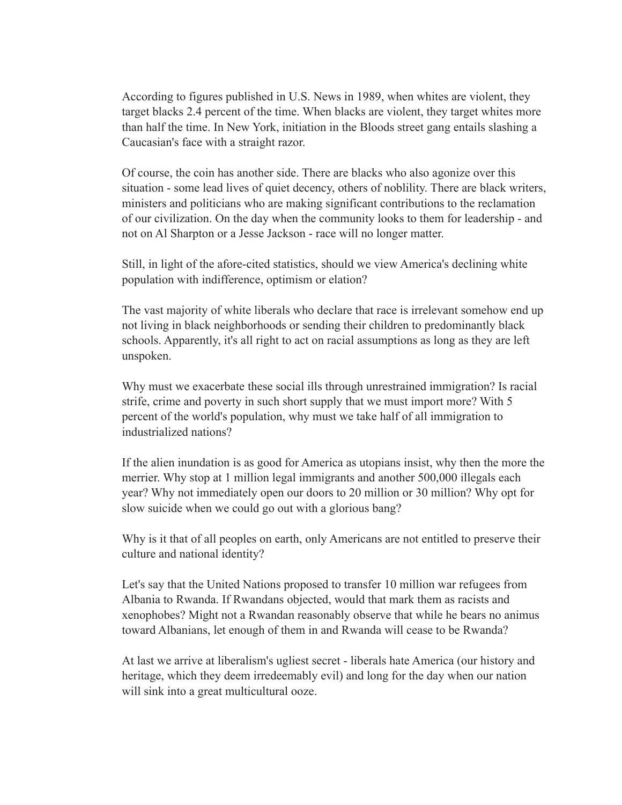According to figures published in U.S. News in 1989, when whites are violent, they target blacks 2.4 percent of the time. When blacks are violent, they target whites more than half the time. In New York, initiation in the Bloods street gang entails slashing a Caucasian's face with a straight razor.

Of course, the coin has another side. There are blacks who also agonize over this situation - some lead lives of quiet decency, others of noblility. There are black writers, ministers and politicians who are making significant contributions to the reclamation of our civilization. On the day when the community looks to them for leadership - and not on Al Sharpton or a Jesse Jackson - race will no longer matter.

Still, in light of the afore-cited statistics, should we view America's declining white population with indifference, optimism or elation?

The vast majority of white liberals who declare that race is irrelevant somehow end up not living in black neighborhoods or sending their children to predominantly black schools. Apparently, it's all right to act on racial assumptions as long as they are left unspoken.

Why must we exacerbate these social ills through unrestrained immigration? Is racial strife, crime and poverty in such short supply that we must import more? With 5 percent of the world's population, why must we take half of all immigration to industrialized nations?

If the alien inundation is as good for America as utopians insist, why then the more the merrier. Why stop at 1 million legal immigrants and another 500,000 illegals each year? Why not immediately open our doors to 20 million or 30 million? Why opt for slow suicide when we could go out with a glorious bang?

Why is it that of all peoples on earth, only Americans are not entitled to preserve their culture and national identity?

Let's say that the United Nations proposed to transfer 10 million war refugees from Albania to Rwanda. If Rwandans objected, would that mark them as racists and xenophobes? Might not a Rwandan reasonably observe that while he bears no animus toward Albanians, let enough of them in and Rwanda will cease to be Rwanda?

At last we arrive at liberalism's ugliest secret - liberals hate America (our history and heritage, which they deem irredeemably evil) and long for the day when our nation will sink into a great multicultural ooze.